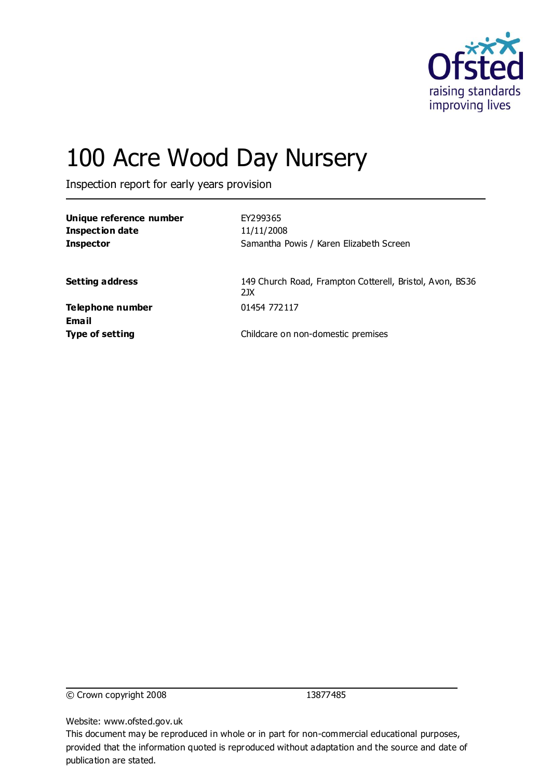

# 100 Acre Wood Day Nursery

Inspection report for early years provision

| Unique reference number<br><b>Inspection date</b><br><b>Inspector</b> | EY299365<br>11/11/2008<br>Samantha Powis / Karen Elizabeth Screen |
|-----------------------------------------------------------------------|-------------------------------------------------------------------|
| <b>Setting address</b>                                                | 149 Church Road, Frampton Cotterell, Bristol, Avon, BS36<br>21X   |
| Telephone number<br>Email                                             | 01454 772117                                                      |
| <b>Type of setting</b>                                                | Childcare on non-domestic premises                                |

© Crown copyright 2008 13877485

Website: www.ofsted.gov.uk

This document may be reproduced in whole or in part for non-commercial educational purposes, provided that the information quoted is reproduced without adaptation and the source and date of publication are stated.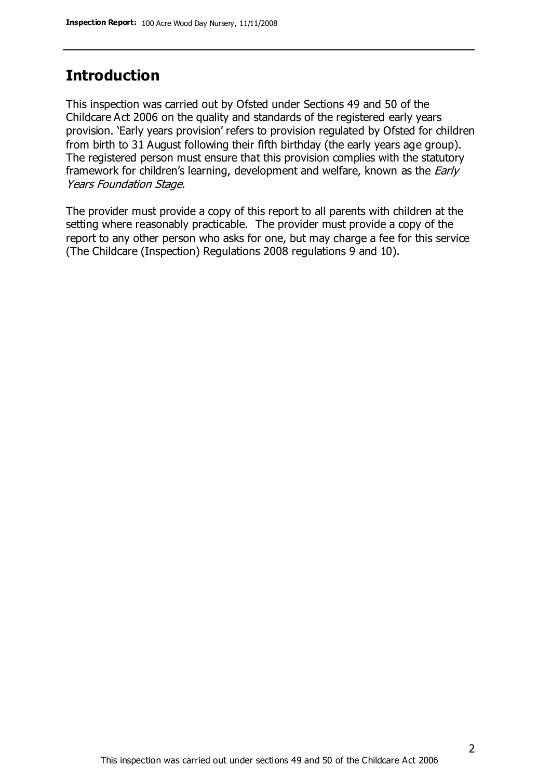#### **Introduction**

This inspection was carried out by Ofsted under Sections 49 and 50 of the Childcare Act 2006 on the quality and standards of the registered early years provision. 'Early years provision' refers to provision regulated by Ofsted for children from birth to 31 August following their fifth birthday (the early years age group). The registered person must ensure that this provision complies with the statutory framework for children's learning, development and welfare, known as the *Early* Years Foundation Stage.

The provider must provide a copy of this report to all parents with children at the setting where reasonably practicable. The provider must provide a copy of the report to any other person who asks for one, but may charge a fee for this service (The Childcare (Inspection) Regulations 2008 regulations 9 and 10).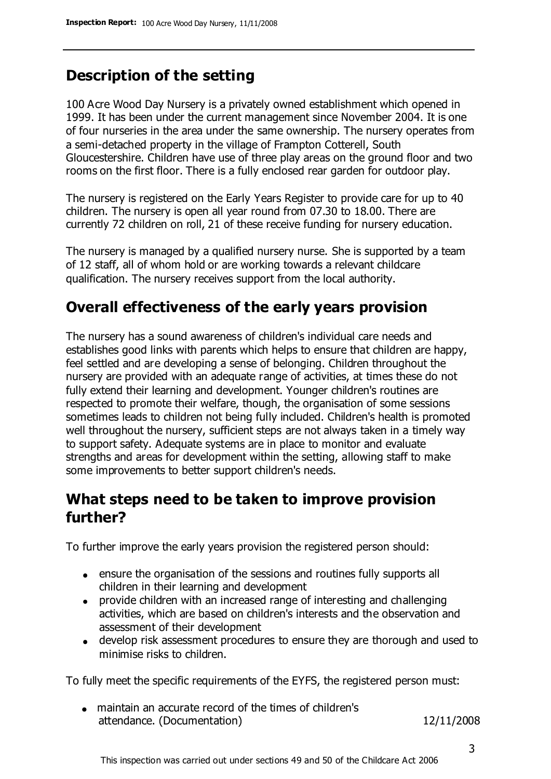## **Description of the setting**

100 Acre Wood Day Nursery is a privately owned establishment which opened in 1999. It has been under the current management since November 2004. It is one of four nurseries in the area under the same ownership. The nursery operates from a semi-detached property in the village of Frampton Cotterell, South Gloucestershire. Children have use of three play areas on the ground floor and two rooms on the first floor. There is a fully enclosed rear garden for outdoor play.

The nursery is registered on the Early Years Register to provide care for up to 40 children. The nursery is open all year round from 07.30 to 18.00. There are currently 72 children on roll, 21 of these receive funding for nursery education.

The nursery is managed by a qualified nursery nurse. She is supported by a team of 12 staff, all of whom hold or are working towards a relevant childcare qualification. The nursery receives support from the local authority.

### **Overall effectiveness of the early years provision**

The nursery has a sound awareness of children's individual care needs and establishes good links with parents which helps to ensure that children are happy, feel settled and are developing a sense of belonging. Children throughout the nursery are provided with an adequate range of activities, at times these do not fully extend their learning and development. Younger children's routines are respected to promote their welfare, though, the organisation of some sessions sometimes leads to children not being fully included. Children's health is promoted well throughout the nursery, sufficient steps are not always taken in a timely way to support safety. Adequate systems are in place to monitor and evaluate strengths and areas for development within the setting, allowing staff to make some improvements to better support children's needs.

#### **What steps need to be taken to improve provision further?**

To further improve the early years provision the registered person should:

- ensure the organisation of the sessions and routines fully supports all children in their learning and development
- provide children with an increased range of interesting and challenging activities, which are based on children's interests and the observation and assessment of their development
- develop risk assessment procedures to ensure they are thorough and used to minimise risks to children.

To fully meet the specific requirements of the EYFS, the registered person must:

maintain an accurate record of the times of children's attendance. (Documentation) 12/11/2008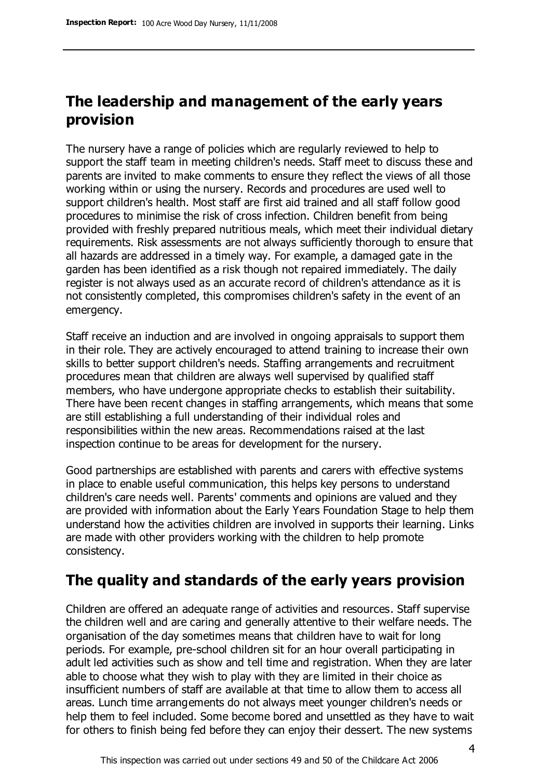#### **The leadership and management of the early years provision**

The nursery have a range of policies which are regularly reviewed to help to support the staff team in meeting children's needs. Staff meet to discuss these and parents are invited to make comments to ensure they reflect the views of all those working within or using the nursery. Records and procedures are used well to support children's health. Most staff are first aid trained and all staff follow good procedures to minimise the risk of cross infection. Children benefit from being provided with freshly prepared nutritious meals, which meet their individual dietary requirements. Risk assessments are not always sufficiently thorough to ensure that all hazards are addressed in a timely way. For example, a damaged gate in the garden has been identified as a risk though not repaired immediately. The daily register is not always used as an accurate record of children's attendance as it is not consistently completed, this compromises children's safety in the event of an emergency.

Staff receive an induction and are involved in ongoing appraisals to support them in their role. They are actively encouraged to attend training to increase their own skills to better support children's needs. Staffing arrangements and recruitment procedures mean that children are always well supervised by qualified staff members, who have undergone appropriate checks to establish their suitability. There have been recent changes in staffing arrangements, which means that some are still establishing a full understanding of their individual roles and responsibilities within the new areas. Recommendations raised at the last inspection continue to be areas for development for the nursery.

Good partnerships are established with parents and carers with effective systems in place to enable useful communication, this helps key persons to understand children's care needs well. Parents' comments and opinions are valued and they are provided with information about the Early Years Foundation Stage to help them understand how the activities children are involved in supports their learning. Links are made with other providers working with the children to help promote consistency.

#### **The quality and standards of the early years provision**

Children are offered an adequate range of activities and resources. Staff supervise the children well and are caring and generally attentive to their welfare needs. The organisation of the day sometimes means that children have to wait for long periods. For example, pre-school children sit for an hour overall participating in adult led activities such as show and tell time and registration. When they are later able to choose what they wish to play with they are limited in their choice as insufficient numbers of staff are available at that time to allow them to access all areas. Lunch time arrangements do not always meet younger children's needs or help them to feel included. Some become bored and unsettled as they have to wait for others to finish being fed before they can enjoy their dessert. The new systems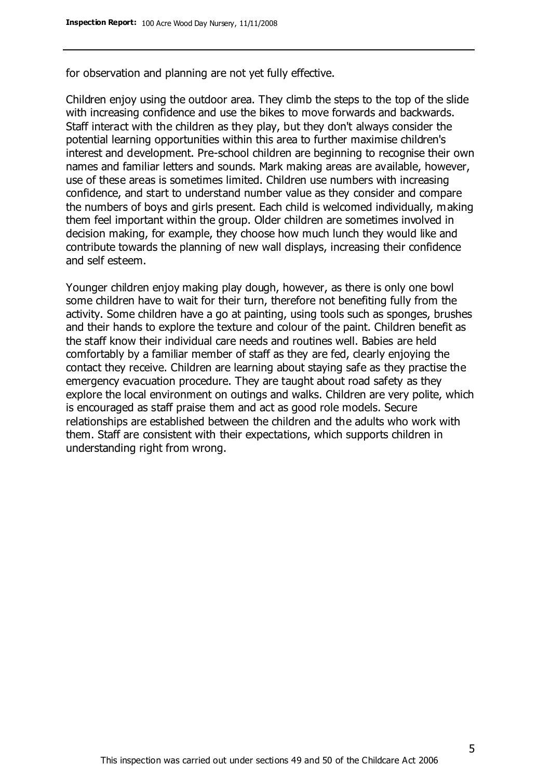for observation and planning are not yet fully effective.

Children enjoy using the outdoor area. They climb the steps to the top of the slide with increasing confidence and use the bikes to move forwards and backwards. Staff interact with the children as they play, but they don't always consider the potential learning opportunities within this area to further maximise children's interest and development. Pre-school children are beginning to recognise their own names and familiar letters and sounds. Mark making areas are available, however, use of these areas is sometimes limited. Children use numbers with increasing confidence, and start to understand number value as they consider and compare the numbers of boys and girls present. Each child is welcomed individually, making them feel important within the group. Older children are sometimes involved in decision making, for example, they choose how much lunch they would like and contribute towards the planning of new wall displays, increasing their confidence and self esteem.

Younger children enjoy making play dough, however, as there is only one bowl some children have to wait for their turn, therefore not benefiting fully from the activity. Some children have a go at painting, using tools such as sponges, brushes and their hands to explore the texture and colour of the paint. Children benefit as the staff know their individual care needs and routines well. Babies are held comfortably by a familiar member of staff as they are fed, clearly enjoying the contact they receive. Children are learning about staying safe as they practise the emergency evacuation procedure. They are taught about road safety as they explore the local environment on outings and walks. Children are very polite, which is encouraged as staff praise them and act as good role models. Secure relationships are established between the children and the adults who work with them. Staff are consistent with their expectations, which supports children in understanding right from wrong.